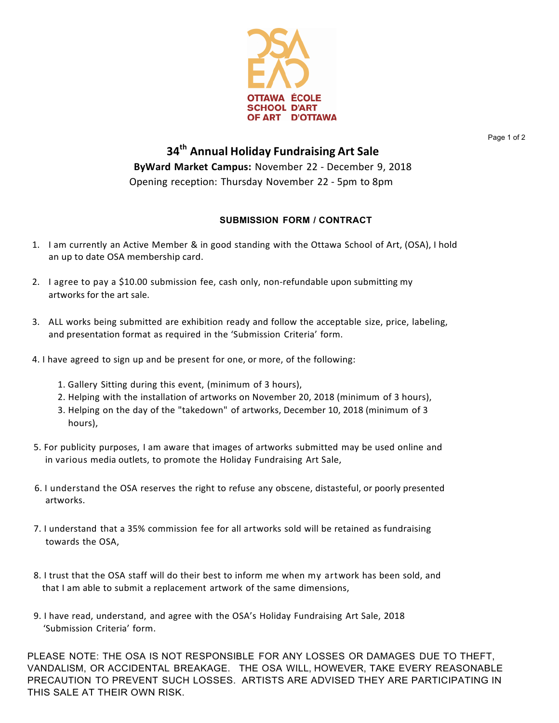

Page 1 of 2

## **34th Annual Holiday Fundraising Art Sale ByWard Market Campus:** November 22 - December 9, 2018 Opening reception: Thursday November 22 - 5pm to 8pm

## **SUBMISSION FORM / CONTRACT**

- 1. I am currently an Active Member & in good standing with the Ottawa School of Art, (OSA), I hold an up to date OSA membership card.
- 2. I agree to pay a \$10.00 submission fee, cash only, non-refundable upon submitting my artworks for the art sale.
- 3. ALL works being submitted are exhibition ready and follow the acceptable size, price, labeling, and presentation format as required in the 'Submission Criteria' form.
- 4. I have agreed to sign up and be present for one, or more, of the following:
	- 1. Gallery Sitting during this event, (minimum of 3 hours),
	- 2. Helping with the installation of artworks on November 20, 2018 (minimum of 3 hours),
	- 3. Helping on the day of the "takedown" of artworks, December 10, 2018 (minimum of 3 hours),
- 5. For publicity purposes, I am aware that images of artworks submitted may be used online and in various media outlets, to promote the Holiday Fundraising Art Sale,
- 6. I understand the OSA reserves the right to refuse any obscene, distasteful, or poorly presented artworks.
- 7. I understand that a 35% commission fee for all artworks sold will be retained as fundraising towards the OSA,
- 8. I trust that the OSA staff will do their best to inform me when my artwork has been sold, and that I am able to submit a replacement artwork of the same dimensions,
- 9. I have read, understand, and agree with the OSA's Holiday Fundraising Art Sale, 2018 'Submission Criteria' form.

PLEASE NOTE: THE OSA IS NOT RESPONSIBLE FOR ANY LOSSES OR DAMAGES DUE TO THEFT, VANDALISM, OR ACCIDENTAL BREAKAGE. THE OSA WILL, HOWEVER, TAKE EVERY REASONABLE PRECAUTION TO PREVENT SUCH LOSSES. ARTISTS ARE ADVISED THEY ARE PARTICIPATING IN THIS SALE AT THEIR OWN RISK.